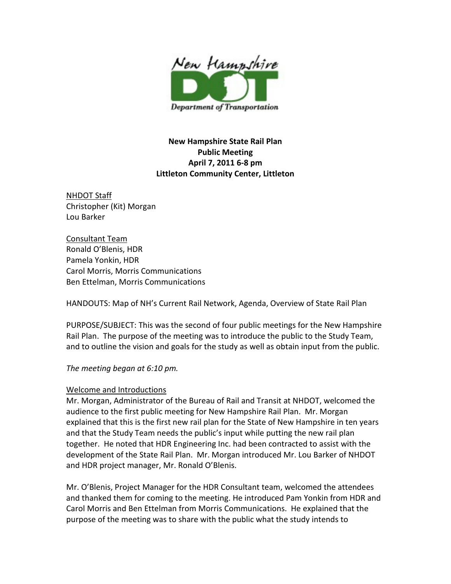

New Hampshire State Rail Plan Public Meeting April 7, 2011 6-8 pm Littleton Community Center, Littleton

NHDOT Staff Christopher (Kit) Morgan Lou Barker

Consultant Team Ronald O'Blenis, HDR Pamela Yonkin, HDR Carol Morris, Morris Communications Ben Ettelman, Morris Communications

HANDOUTS: Map of NH's Current Rail Network, Agenda, Overview of State Rail Plan

PURPOSE/SUBJECT: This was the second of four public meetings for the New Hampshire Rail Plan. The purpose of the meeting was to introduce the public to the Study Team, and to outline the vision and goals for the study as well as obtain input from the public.

The meeting began at 6:10 pm.

### Welcome and Introductions

Mr. Morgan, Administrator of the Bureau of Rail and Transit at NHDOT, welcomed the audience to the first public meeting for New Hampshire Rail Plan. Mr. Morgan explained that this is the first new rail plan for the State of New Hampshire in ten years and that the Study Team needs the public's input while putting the new rail plan together. He noted that HDR Engineering Inc. had been contracted to assist with the development of the State Rail Plan. Mr. Morgan introduced Mr. Lou Barker of NHDOT and HDR project manager, Mr. Ronald O'Blenis.

Mr. O'Blenis, Project Manager for the HDR Consultant team, welcomed the attendees and thanked them for coming to the meeting. He introduced Pam Yonkin from HDR and Carol Morris and Ben Ettelman from Morris Communications. He explained that the purpose of the meeting was to share with the public what the study intends to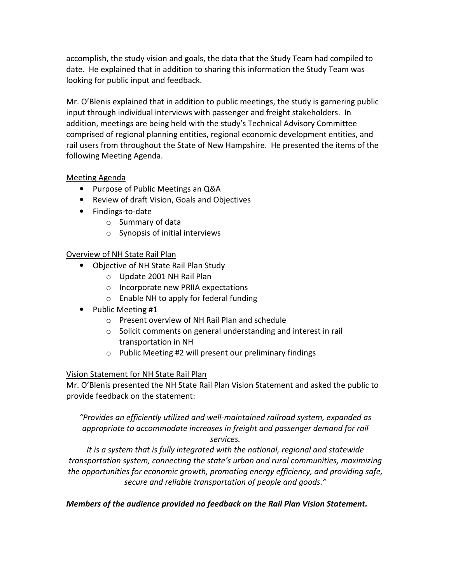accomplish, the study vision and goals, the data that the Study Team had compiled to date. He explained that in addition to sharing this information the Study Team was looking for public input and feedback.

Mr. O'Blenis explained that in addition to public meetings, the study is garnering public input through individual interviews with passenger and freight stakeholders. In addition, meetings are being held with the study's Technical Advisory Committee comprised of regional planning entities, regional economic development entities, and rail users from throughout the State of New Hampshire. He presented the items of the following Meeting Agenda.

# Meeting Agenda

- Purpose of Public Meetings an Q&A
- Review of draft Vision, Goals and Objectives
- Findings-to-date
	- o Summary of data
	- o Synopsis of initial interviews

# Overview of NH State Rail Plan

- Objective of NH State Rail Plan Study
	- o Update 2001 NH Rail Plan
	- o Incorporate new PRIIA expectations
	- o Enable NH to apply for federal funding
- Public Meeting #1
	- o Present overview of NH Rail Plan and schedule
	- o Solicit comments on general understanding and interest in rail transportation in NH
	- o Public Meeting #2 will present our preliminary findings

# Vision Statement for NH State Rail Plan

Mr. O'Blenis presented the NH State Rail Plan Vision Statement and asked the public to provide feedback on the statement:

"Provides an efficiently utilized and well-maintained railroad system, expanded as appropriate to accommodate increases in freight and passenger demand for rail services.

It is a system that is fully integrated with the national, regional and statewide transportation system, connecting the state's urban and rural communities, maximizing the opportunities for economic growth, promoting energy efficiency, and providing safe, secure and reliable transportation of people and goods."

# Members of the audience provided no feedback on the Rail Plan Vision Statement.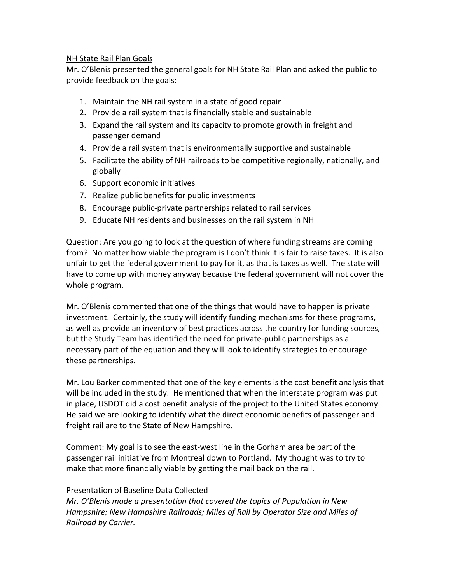### NH State Rail Plan Goals

Mr. O'Blenis presented the general goals for NH State Rail Plan and asked the public to provide feedback on the goals:

- 1. Maintain the NH rail system in a state of good repair
- 2. Provide a rail system that is financially stable and sustainable
- 3. Expand the rail system and its capacity to promote growth in freight and passenger demand
- 4. Provide a rail system that is environmentally supportive and sustainable
- 5. Facilitate the ability of NH railroads to be competitive regionally, nationally, and globally
- 6. Support economic initiatives
- 7. Realize public benefits for public investments
- 8. Encourage public-private partnerships related to rail services
- 9. Educate NH residents and businesses on the rail system in NH

Question: Are you going to look at the question of where funding streams are coming from? No matter how viable the program is I don't think it is fair to raise taxes. It is also unfair to get the federal government to pay for it, as that is taxes as well. The state will have to come up with money anyway because the federal government will not cover the whole program.

Mr. O'Blenis commented that one of the things that would have to happen is private investment. Certainly, the study will identify funding mechanisms for these programs, as well as provide an inventory of best practices across the country for funding sources, but the Study Team has identified the need for private-public partnerships as a necessary part of the equation and they will look to identify strategies to encourage these partnerships.

Mr. Lou Barker commented that one of the key elements is the cost benefit analysis that will be included in the study. He mentioned that when the interstate program was put in place, USDOT did a cost benefit analysis of the project to the United States economy. He said we are looking to identify what the direct economic benefits of passenger and freight rail are to the State of New Hampshire.

Comment: My goal is to see the east-west line in the Gorham area be part of the passenger rail initiative from Montreal down to Portland. My thought was to try to make that more financially viable by getting the mail back on the rail.

# Presentation of Baseline Data Collected

Mr. O'Blenis made a presentation that covered the topics of Population in New Hampshire; New Hampshire Railroads; Miles of Rail by Operator Size and Miles of Railroad by Carrier.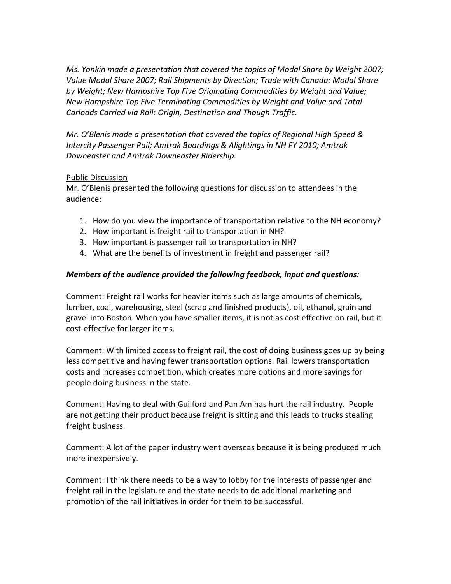Ms. Yonkin made a presentation that covered the topics of Modal Share by Weight 2007; Value Modal Share 2007; Rail Shipments by Direction; Trade with Canada: Modal Share by Weight; New Hampshire Top Five Originating Commodities by Weight and Value; New Hampshire Top Five Terminating Commodities by Weight and Value and Total Carloads Carried via Rail: Origin, Destination and Though Traffic.

Mr. O'Blenis made a presentation that covered the topics of Regional High Speed & Intercity Passenger Rail; Amtrak Boardings & Alightings in NH FY 2010; Amtrak Downeaster and Amtrak Downeaster Ridership.

### Public Discussion

Mr. O'Blenis presented the following questions for discussion to attendees in the audience:

- 1. How do you view the importance of transportation relative to the NH economy?
- 2. How important is freight rail to transportation in NH?
- 3. How important is passenger rail to transportation in NH?
- 4. What are the benefits of investment in freight and passenger rail?

### Members of the audience provided the following feedback, input and questions:

Comment: Freight rail works for heavier items such as large amounts of chemicals, lumber, coal, warehousing, steel (scrap and finished products), oil, ethanol, grain and gravel into Boston. When you have smaller items, it is not as cost effective on rail, but it cost-effective for larger items.

Comment: With limited access to freight rail, the cost of doing business goes up by being less competitive and having fewer transportation options. Rail lowers transportation costs and increases competition, which creates more options and more savings for people doing business in the state.

Comment: Having to deal with Guilford and Pan Am has hurt the rail industry. People are not getting their product because freight is sitting and this leads to trucks stealing freight business.

Comment: A lot of the paper industry went overseas because it is being produced much more inexpensively.

Comment: I think there needs to be a way to lobby for the interests of passenger and freight rail in the legislature and the state needs to do additional marketing and promotion of the rail initiatives in order for them to be successful.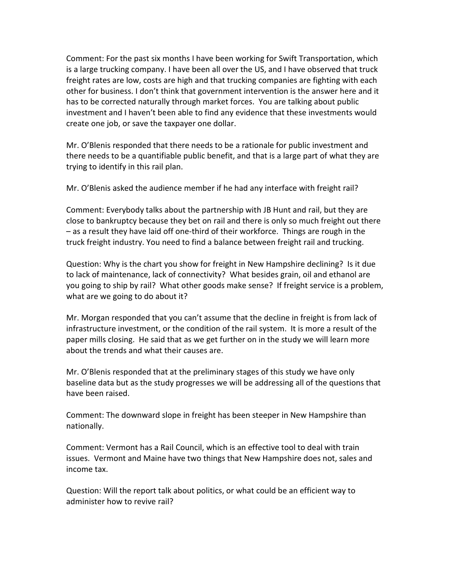Comment: For the past six months I have been working for Swift Transportation, which is a large trucking company. I have been all over the US, and I have observed that truck freight rates are low, costs are high and that trucking companies are fighting with each other for business. I don't think that government intervention is the answer here and it has to be corrected naturally through market forces. You are talking about public investment and I haven't been able to find any evidence that these investments would create one job, or save the taxpayer one dollar.

Mr. O'Blenis responded that there needs to be a rationale for public investment and there needs to be a quantifiable public benefit, and that is a large part of what they are trying to identify in this rail plan.

Mr. O'Blenis asked the audience member if he had any interface with freight rail?

Comment: Everybody talks about the partnership with JB Hunt and rail, but they are close to bankruptcy because they bet on rail and there is only so much freight out there – as a result they have laid off one-third of their workforce. Things are rough in the truck freight industry. You need to find a balance between freight rail and trucking.

Question: Why is the chart you show for freight in New Hampshire declining? Is it due to lack of maintenance, lack of connectivity? What besides grain, oil and ethanol are you going to ship by rail? What other goods make sense? If freight service is a problem, what are we going to do about it?

Mr. Morgan responded that you can't assume that the decline in freight is from lack of infrastructure investment, or the condition of the rail system. It is more a result of the paper mills closing. He said that as we get further on in the study we will learn more about the trends and what their causes are.

Mr. O'Blenis responded that at the preliminary stages of this study we have only baseline data but as the study progresses we will be addressing all of the questions that have been raised.

Comment: The downward slope in freight has been steeper in New Hampshire than nationally.

Comment: Vermont has a Rail Council, which is an effective tool to deal with train issues. Vermont and Maine have two things that New Hampshire does not, sales and income tax.

Question: Will the report talk about politics, or what could be an efficient way to administer how to revive rail?